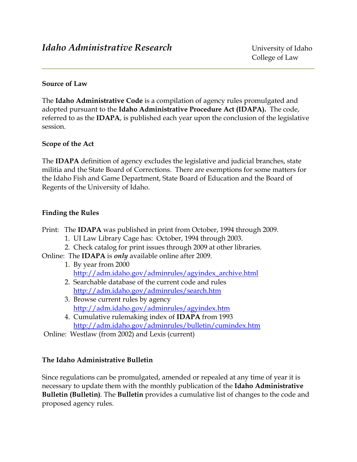#### **Source of Law**

The **Idaho Administrative Code** is a compilation of agency rules promulgated and adopted pursuant to the **Idaho Administrative Procedure Act (IDAPA).** The code, referred to as the **IDAPA**, is published each year upon the conclusion of the legislative session.

### **Scope of the Act**

The **IDAPA** definition of agency excludes the legislative and judicial branches, state militia and the State Board of Corrections. There are exemptions for some matters for the Idaho Fish and Game Department, State Board of Education and the Board of Regents of the University of Idaho.

### **Finding the Rules**

- Print: The **IDAPA** was published in print from October, 1994 through 2009.
	- 1. UI Law Library Cage has: October, 1994 through 2003.
	- 2. Check catalog for print issues through 2009 at other libraries.
- Online: The **IDAPA** is *only* available online after 2009.
	- 1. By year from 2000 [http://adm.idaho.gov/adminrules/agyindex\\_archive.html](http://adm.idaho.gov/adminrules/agyindex_archive.html)
	- 2. Searchable database of the current code and rules <http://adm.idaho.gov/adminrules/search.htm>
	- 3. Browse current rules by agency <http://adm.idaho.gov/adminrules/agyindex.htm>
	- 4. Cumulative rulemaking index of **IDAPA** from 1993 <http://adm.idaho.gov/adminrules/bulletin/cumindex.htm>

Online: Westlaw (from 2002) and Lexis (current)

#### **The Idaho Administrative Bulletin**

Since regulations can be promulgated, amended or repealed at any time of year it is necessary to update them with the monthly publication of the **Idaho Administrative Bulletin (Bulletin)***.* The **Bulletin** provides a cumulative list of changes to the code and proposed agency rules.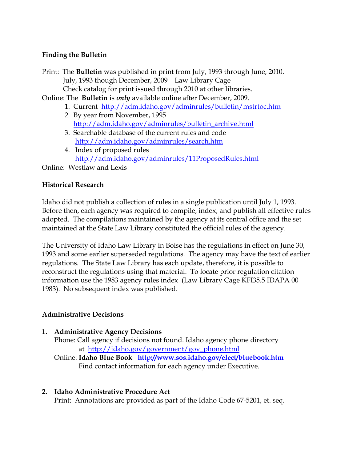### **Finding the Bulletin**

Print: The **Bulletin** was published in print from July, 1993 through June, 2010. July, 1993 though December, 2009 Law Library Cage Check catalog for print issued through 2010 at other libraries.

Online: The **Bulletin** is *only* available online after December, 2009.

- 1. Current <http://adm.idaho.gov/adminrules/bulletin/mstrtoc.htm>
- 2. By year from November, 1995 [http://adm.idaho.gov/adminrules/bulletin\\_archive.html](http://adm.idaho.gov/adminrules/bulletin_archive.html)
- 3. Searchable database of the current rules and code <http://adm.idaho.gov/adminrules/search.htm>
- 4. Index of proposed rules <http://adm.idaho.gov/adminrules/11ProposedRules.html>

Online: Westlaw and Lexis

# **Historical Research**

Idaho did not publish a collection of rules in a single publication until July 1, 1993. Before then, each agency was required to compile, index, and publish all effective rules adopted. The compilations maintained by the agency at its central office and the set maintained at the State Law Library constituted the official rules of the agency.

The University of Idaho Law Library in Boise has the regulations in effect on June 30, 1993 and some earlier superseded regulations. The agency may have the text of earlier regulations. The State Law Library has each update, therefore, it is possible to reconstruct the regulations using that material. To locate prior regulation citation information use the 1983 agency rules index (Law Library Cage KFI35.5 IDAPA 00 1983). No subsequent index was published.

# **Administrative Decisions**

# **1. Administrative Agency Decisions**

Phone: Call agency if decisions not found. Idaho agency phone directory at [http://idaho.gov/government/gov\\_phone.html](http://idaho.gov/government/gov_phone.html)

 Online: **Idaho Blue Book <http://www.sos.idaho.gov/elect/bluebook.htm>** Find contact information for each agency under Executive.

# **2. Idaho Administrative Procedure Act**

Print: Annotations are provided as part of the Idaho Code 67-5201, et. seq.